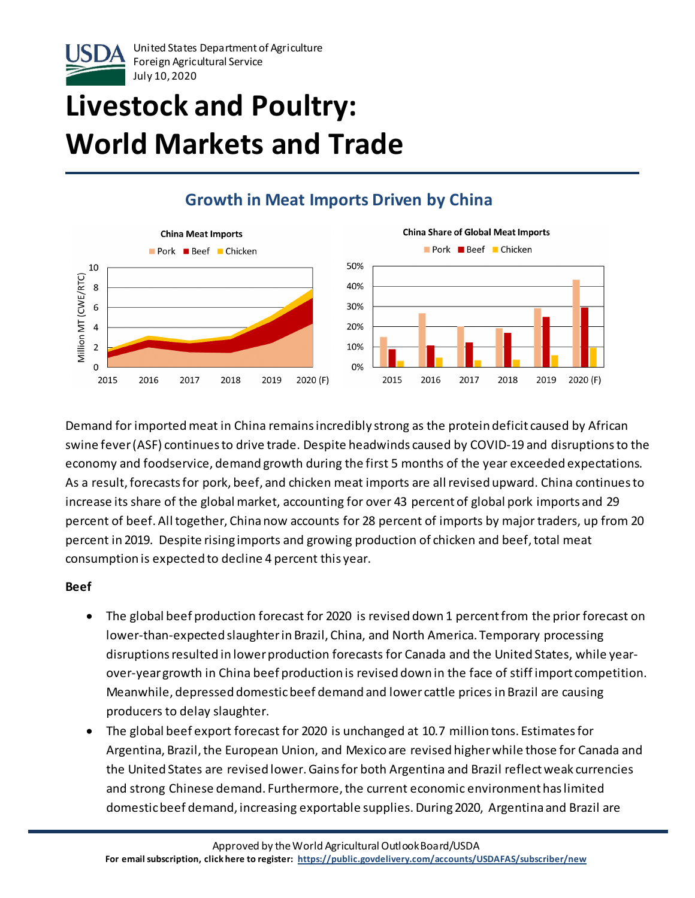

# **Livestock and Poultry: World Markets and Trade**

### **Growth in Meat Imports Driven by China**



Demand for imported meat in China remains incredibly strong as the protein deficit caused by African swine fever(ASF) continues to drive trade. Despite headwinds caused by COVID-19 and disruptionsto the economy and foodservice, demand growth during the first 5 months of the year exceeded expectations. As a result, forecasts for pork, beef, and chicken meat imports are all revised upward. China continues to increase its share of the global market, accounting for over 43 percent of global pork imports and 29 percent of beef. All together, Chinanow accounts for 28 percent of imports by major traders, up from 20 percent in 2019. Despite rising imports and growing production of chicken and beef, total meat consumption is expected to decline 4 percent this year.

#### **Beef**

- The global beef production forecast for 2020 is revised down 1 percentfrom the prior forecast on lower-than-expected slaughter in Brazil, China, and North America. Temporary processing disruptions resulted in lower production forecasts for Canada and the United States, while yearover-year growth in China beef production is revised down in the face of stiff import competition. Meanwhile, depressed domestic beef demand and lower cattle prices in Brazil are causing producers to delay slaughter.
- The global beef export forecast for 2020 is unchanged at 10.7 million tons. Estimates for Argentina, Brazil, the European Union, and Mexico are revised higher while those for Canada and the United States are revised lower. Gains for both Argentina and Brazil reflectweak currencies and strong Chinese demand. Furthermore, the current economic environment has limited domestic beef demand, increasing exportable supplies. During 2020, Argentina and Brazil are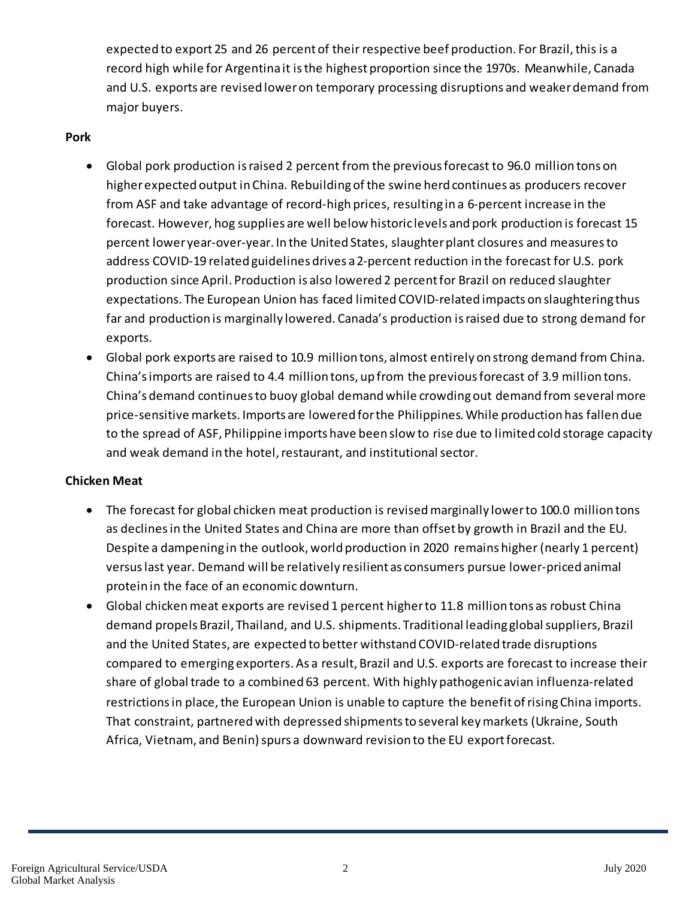expected to export 25 and 26 percent of their respective beef production. For Brazil, this is a record high while for Argentina it is the highest proportion since the 1970s. Meanwhile, Canada and U.S. exports are revised lower on temporary processing disruptions and weaker demand from major buyers.

#### **Pork**

- Global pork production is raised 2 percent from the previous forecast to 96.0 million tons on higher expected output in China. Rebuilding of the swine herd continues as producers recover from ASF and take advantage of record-high prices, resulting in a 6-percent increase in the forecast. However, hog supplies are well below historic levels and pork production is forecast 15 percent lower year-over-year. In the United States, slaughter plant closures and measures to address COVID-19 related guidelines drives a 2-percent reduction in the forecast for U.S. pork production since April. Production is also lowered 2 percent for Brazil on reduced slaughter expectations. The European Union has faced limited COVID-related impacts on slaughtering thus far and production is marginally lowered. Canada's production is raised due to strong demand for exports.
- Global pork exports are raised to 10.9 million tons, almost entirely on strong demand from China. China's imports are raised to 4.4 million tons, up from the previous forecast of 3.9 million tons. China's demand continues to buoy global demand while crowding out demand from several more price-sensitive markets. Imports are lowered for the Philippines. While production has fallen due to the spread of ASF, Philippine imports have been slow to rise due to limited cold storage capacity and weak demand in the hotel, restaurant, and institutional sector.

#### **Chicken Meat**

- The forecast for global chicken meat production is revised marginally lower to 100.0 million tons as declines in the United States and China are more than offset by growth in Brazil and the EU. Despite a dampening in the outlook, world production in 2020 remains higher (nearly 1 percent) versus last year. Demand will be relatively resilient as consumers pursue lower-priced animal protein in the face of an economic downturn.
- Global chicken meat exports are revised 1 percent higher to 11.8 million tons as robust China demand propels Brazil, Thailand, and U.S. shipments. Traditional leading globalsuppliers, Brazil and the United States, are expected to better withstand COVID-related trade disruptions compared to emerging exporters. As a result, Brazil and U.S. exports are forecast to increase their share of global trade to a combined 63 percent. With highly pathogenic avian influenza-related restrictions in place, the European Union is unable to capture the benefit of rising China imports. That constraint, partnered with depressed shipments to several key markets (Ukraine, South Africa, Vietnam, and Benin) spurs a downward revision to the EU export forecast.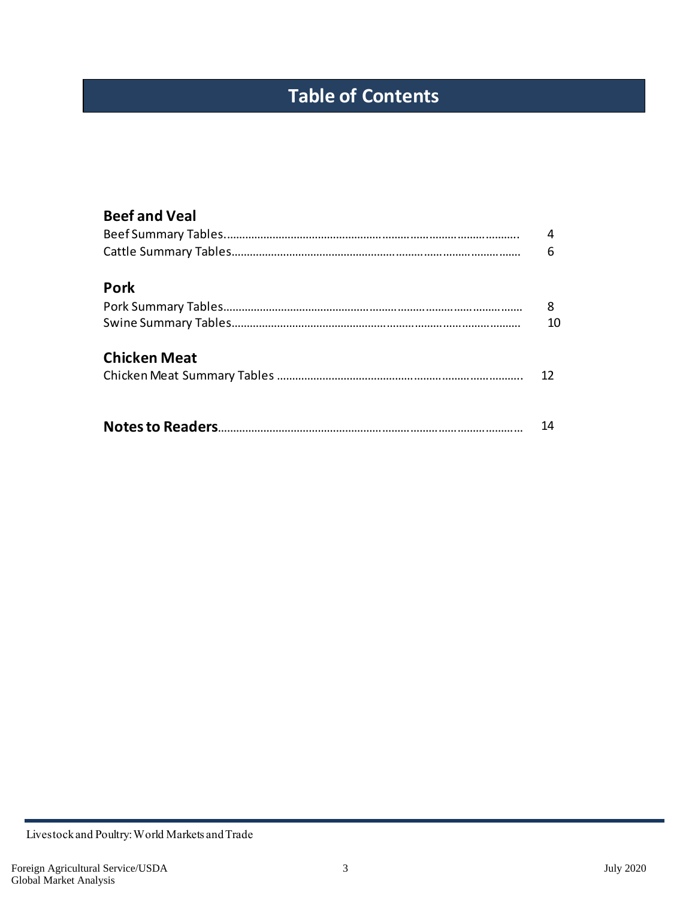## **Table of Contents**

| <b>Beef and Veal</b> |    |
|----------------------|----|
|                      | 4  |
|                      | 6  |
| <b>Pork</b>          |    |
|                      | 8  |
|                      | 10 |
| <b>Chicken Meat</b>  |    |
|                      | 12 |
|                      |    |
|                      | 14 |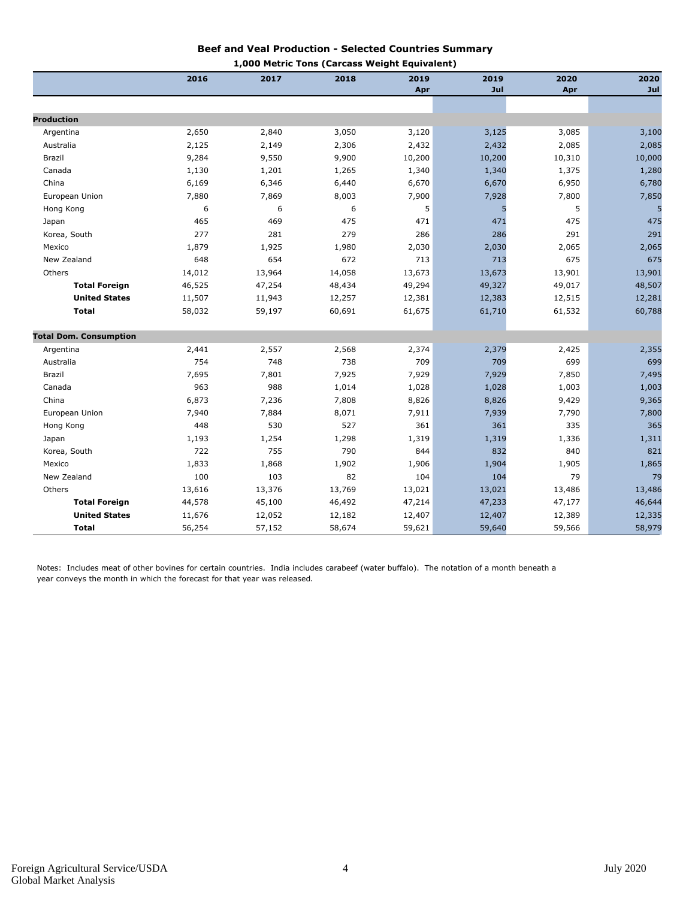#### **Beef and Veal Production - Selected Countries Summary 1,000 Metric Tons (Carcass Weight Equivalent)**

|                               |        |        | 1,000 Metric Tons (Carcass weight Equivalent) |        |        |        |        |
|-------------------------------|--------|--------|-----------------------------------------------|--------|--------|--------|--------|
|                               | 2016   | 2017   | 2018                                          | 2019   | 2019   | 2020   | 2020   |
|                               |        |        |                                               | Apr    | Jul    | Apr    | Jul    |
|                               |        |        |                                               |        |        |        |        |
| <b>Production</b>             |        |        |                                               |        |        |        |        |
| Argentina                     | 2,650  | 2,840  | 3,050                                         | 3,120  | 3,125  | 3,085  | 3,100  |
| Australia                     | 2,125  | 2,149  | 2,306                                         | 2,432  | 2,432  | 2,085  | 2,085  |
| Brazil                        | 9,284  | 9,550  | 9,900                                         | 10,200 | 10,200 | 10,310 | 10,000 |
| Canada                        | 1,130  | 1,201  | 1,265                                         | 1,340  | 1,340  | 1,375  | 1,280  |
| China                         | 6,169  | 6,346  | 6,440                                         | 6,670  | 6,670  | 6,950  | 6,780  |
| European Union                | 7,880  | 7,869  | 8,003                                         | 7,900  | 7,928  | 7,800  | 7,850  |
| Hong Kong                     | 6      | 6      | 6                                             | 5      |        | 5      |        |
| Japan                         | 465    | 469    | 475                                           | 471    | 471    | 475    | 475    |
| Korea, South                  | 277    | 281    | 279                                           | 286    | 286    | 291    | 291    |
| Mexico                        | 1,879  | 1,925  | 1,980                                         | 2,030  | 2,030  | 2,065  | 2,065  |
| New Zealand                   | 648    | 654    | 672                                           | 713    | 713    | 675    | 675    |
| Others                        | 14,012 | 13,964 | 14,058                                        | 13,673 | 13,673 | 13,901 | 13,901 |
| <b>Total Foreign</b>          | 46,525 | 47,254 | 48,434                                        | 49,294 | 49,327 | 49,017 | 48,507 |
| <b>United States</b>          | 11,507 | 11,943 | 12,257                                        | 12,381 | 12,383 | 12,515 | 12,281 |
| <b>Total</b>                  | 58,032 | 59,197 | 60,691                                        | 61,675 | 61,710 | 61,532 | 60,788 |
| <b>Total Dom. Consumption</b> |        |        |                                               |        |        |        |        |
| Argentina                     | 2,441  | 2,557  | 2,568                                         | 2,374  | 2,379  | 2,425  | 2,355  |
| Australia                     | 754    | 748    | 738                                           | 709    | 709    | 699    | 699    |
| <b>Brazil</b>                 | 7,695  | 7,801  | 7,925                                         | 7,929  | 7,929  | 7,850  | 7,495  |
| Canada                        | 963    | 988    | 1,014                                         | 1,028  | 1,028  | 1,003  | 1,003  |
| China                         | 6,873  | 7,236  | 7,808                                         | 8,826  | 8,826  | 9,429  | 9,365  |
| European Union                | 7,940  | 7,884  | 8,071                                         | 7,911  | 7,939  | 7,790  | 7,800  |
| Hong Kong                     | 448    | 530    | 527                                           | 361    | 361    | 335    | 365    |
| Japan                         | 1,193  | 1,254  | 1,298                                         | 1,319  | 1,319  | 1,336  | 1,311  |
| Korea, South                  | 722    | 755    | 790                                           | 844    | 832    | 840    | 821    |
| Mexico                        | 1,833  | 1,868  | 1,902                                         | 1,906  | 1,904  | 1,905  | 1,865  |
| New Zealand                   | 100    | 103    | 82                                            | 104    | 104    | 79     | 79     |
| Others                        | 13,616 | 13,376 | 13,769                                        | 13,021 | 13,021 | 13,486 | 13,486 |
| <b>Total Foreign</b>          | 44,578 | 45,100 | 46,492                                        | 47,214 | 47,233 | 47,177 | 46,644 |
| <b>United States</b>          | 11,676 | 12,052 | 12,182                                        | 12,407 | 12,407 | 12,389 | 12,335 |
| <b>Total</b>                  | 56,254 | 57,152 | 58,674                                        | 59,621 | 59,640 | 59,566 | 58,979 |

Notes: Includes meat of other bovines for certain countries. India includes carabeef (water buffalo). The notation of a month beneath a year conveys the month in which the forecast for that year was released.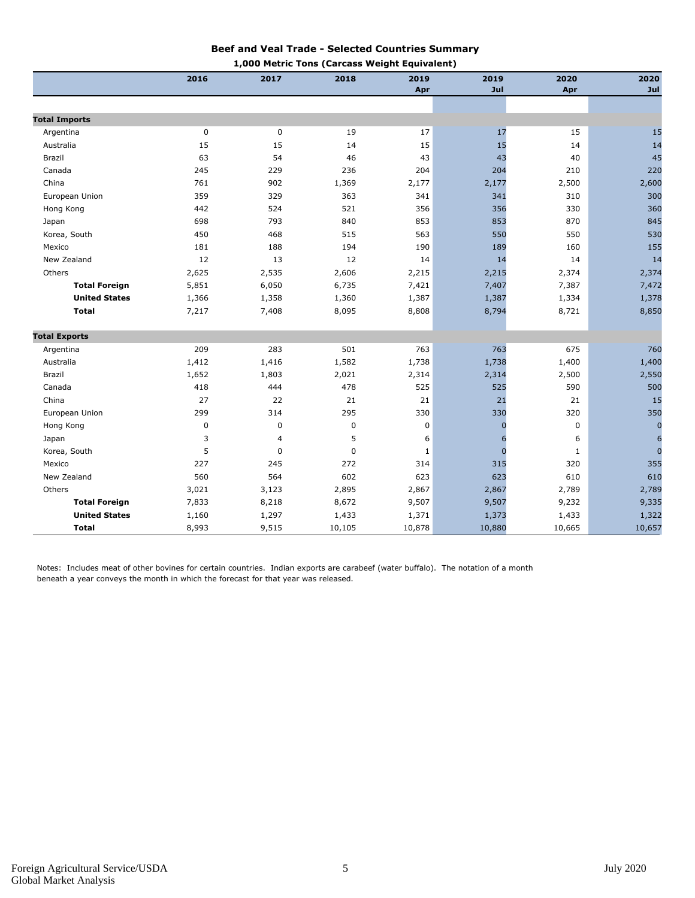#### **Beef and Veal Trade - Selected Countries Summary**

|                      |           |       | 1,000 Metric Tons (Carcass Weight Equivalent) |        |             |        |                |
|----------------------|-----------|-------|-----------------------------------------------|--------|-------------|--------|----------------|
|                      | 2016      | 2017  | 2018                                          | 2019   | 2019        | 2020   | 2020           |
|                      |           |       |                                               | Apr    | Jul         | Apr    | Jul            |
|                      |           |       |                                               |        |             |        |                |
| <b>Total Imports</b> |           |       |                                               |        |             |        |                |
| Argentina            | 0         | 0     | 19                                            | 17     | 17          | 15     | 15             |
| Australia            | 15        | 15    | 14                                            | 15     | 15          | 14     | 14             |
| Brazil               | 63        | 54    | 46                                            | 43     | 43          | 40     | 45             |
| Canada               | 245       | 229   | 236                                           | 204    | 204         | 210    | 220            |
| China                | 761       | 902   | 1,369                                         | 2,177  | 2,177       | 2,500  | 2,600          |
| European Union       | 359       | 329   | 363                                           | 341    | 341         | 310    | 300            |
| Hong Kong            | 442       | 524   | 521                                           | 356    | 356         | 330    | 360            |
| Japan                | 698       | 793   | 840                                           | 853    | 853         | 870    | 845            |
| Korea, South         | 450       | 468   | 515                                           | 563    | 550         | 550    | 530            |
| Mexico               | 181       | 188   | 194                                           | 190    | 189         | 160    | 155            |
| New Zealand          | 12        | 13    | 12                                            | 14     | 14          | 14     | 14             |
| Others               | 2,625     | 2,535 | 2,606                                         | 2,215  | 2,215       | 2,374  | 2,374          |
| <b>Total Foreign</b> | 5,851     | 6,050 | 6,735                                         | 7,421  | 7,407       | 7,387  | 7,472          |
| <b>United States</b> | 1,366     | 1,358 | 1,360                                         | 1,387  | 1,387       | 1,334  | 1,378          |
| <b>Total</b>         | 7,217     | 7,408 | 8,095                                         | 8,808  | 8,794       | 8,721  | 8,850          |
|                      |           |       |                                               |        |             |        |                |
| <b>Total Exports</b> |           |       |                                               |        |             |        |                |
| Argentina            | 209       | 283   | 501                                           | 763    | 763         | 675    | 760            |
| Australia            | 1,412     | 1,416 | 1,582                                         | 1,738  | 1,738       | 1,400  | 1,400          |
| Brazil               | 1,652     | 1,803 | 2,021                                         | 2,314  | 2,314       | 2,500  | 2,550          |
| Canada               | 418       | 444   | 478                                           | 525    | 525         | 590    | 500            |
| China                | 27        | 22    | 21                                            | 21     | 21          | 21     | 15             |
| European Union       | 299       | 314   | 295                                           | 330    | 330         | 320    | 350            |
| Hong Kong            | $\pmb{0}$ | 0     | 0                                             | 0      | $\mathbf 0$ | 0      | $\pmb{0}$      |
| Japan                | 3         | 4     | 5                                             | 6      | 6           | 6      | 6              |
| Korea, South         | 5         | 0     | $\mathbf 0$                                   | 1      | $\mathbf 0$ | 1      | $\overline{0}$ |
| Mexico               | 227       | 245   | 272                                           | 314    | 315         | 320    | 355            |
| New Zealand          | 560       | 564   | 602                                           | 623    | 623         | 610    | 610            |
| Others               | 3,021     | 3,123 | 2,895                                         | 2,867  | 2,867       | 2,789  | 2,789          |
| <b>Total Foreign</b> | 7,833     | 8,218 | 8,672                                         | 9,507  | 9,507       | 9,232  | 9,335          |
| <b>United States</b> | 1,160     | 1,297 | 1,433                                         | 1,371  | 1,373       | 1,433  | 1,322          |
| <b>Total</b>         | 8,993     | 9,515 | 10,105                                        | 10,878 | 10,880      | 10,665 | 10,657         |

Notes: Includes meat of other bovines for certain countries. Indian exports are carabeef (water buffalo). The notation of a month beneath a year conveys the month in which the forecast for that year was released.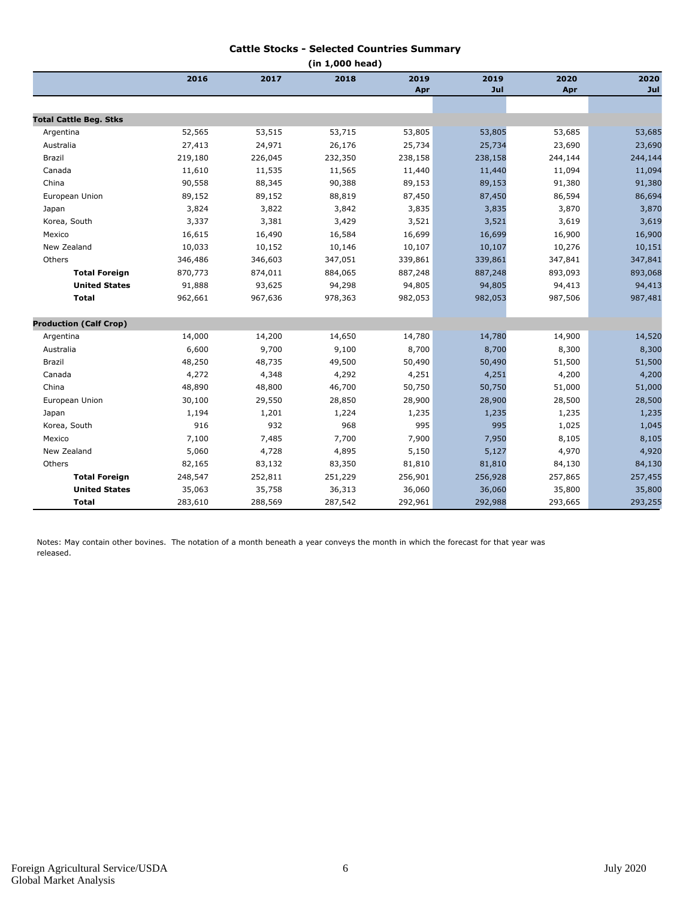#### **Cattle Stocks - Selected Countries Summary**

| (in 1,000 head)               |         |         |         |         |         |         |         |  |
|-------------------------------|---------|---------|---------|---------|---------|---------|---------|--|
|                               | 2016    | 2017    | 2018    | 2019    | 2019    | 2020    | 2020    |  |
|                               |         |         |         | Apr     | Jul     | Apr     | Jul     |  |
|                               |         |         |         |         |         |         |         |  |
| <b>Total Cattle Beg. Stks</b> |         |         |         |         |         |         |         |  |
| Argentina                     | 52,565  | 53,515  | 53,715  | 53,805  | 53,805  | 53,685  | 53,685  |  |
| Australia                     | 27,413  | 24,971  | 26,176  | 25,734  | 25,734  | 23,690  | 23,690  |  |
| Brazil                        | 219,180 | 226,045 | 232,350 | 238,158 | 238,158 | 244,144 | 244,144 |  |
| Canada                        | 11,610  | 11,535  | 11,565  | 11,440  | 11,440  | 11,094  | 11,094  |  |
| China                         | 90,558  | 88,345  | 90,388  | 89,153  | 89,153  | 91,380  | 91,380  |  |
| European Union                | 89,152  | 89,152  | 88,819  | 87,450  | 87,450  | 86,594  | 86,694  |  |
| Japan                         | 3,824   | 3,822   | 3,842   | 3,835   | 3,835   | 3,870   | 3,870   |  |
| Korea, South                  | 3,337   | 3,381   | 3,429   | 3,521   | 3,521   | 3,619   | 3,619   |  |
| Mexico                        | 16,615  | 16,490  | 16,584  | 16,699  | 16,699  | 16,900  | 16,900  |  |
| New Zealand                   | 10,033  | 10,152  | 10,146  | 10,107  | 10,107  | 10,276  | 10,151  |  |
| Others                        | 346,486 | 346,603 | 347,051 | 339,861 | 339,861 | 347,841 | 347,841 |  |
| <b>Total Foreign</b>          | 870,773 | 874,011 | 884,065 | 887,248 | 887,248 | 893,093 | 893,068 |  |
| <b>United States</b>          | 91,888  | 93,625  | 94,298  | 94,805  | 94,805  | 94,413  | 94,413  |  |
| <b>Total</b>                  | 962,661 | 967,636 | 978,363 | 982,053 | 982,053 | 987,506 | 987,481 |  |
| <b>Production (Calf Crop)</b> |         |         |         |         |         |         |         |  |
| Argentina                     | 14,000  | 14,200  | 14,650  | 14,780  | 14,780  | 14,900  | 14,520  |  |
| Australia                     | 6,600   | 9,700   | 9,100   | 8,700   | 8,700   | 8,300   | 8,300   |  |
| Brazil                        | 48,250  | 48,735  | 49,500  | 50,490  | 50,490  | 51,500  | 51,500  |  |
| Canada                        | 4,272   | 4,348   | 4,292   | 4,251   | 4,251   | 4,200   | 4,200   |  |
| China                         | 48,890  | 48,800  | 46,700  | 50,750  | 50,750  | 51,000  | 51,000  |  |
| European Union                | 30,100  | 29,550  | 28,850  | 28,900  | 28,900  | 28,500  | 28,500  |  |
| Japan                         | 1,194   | 1,201   | 1,224   | 1,235   | 1,235   | 1,235   | 1,235   |  |
| Korea, South                  | 916     | 932     | 968     | 995     | 995     | 1,025   | 1,045   |  |
| Mexico                        | 7,100   | 7,485   | 7,700   | 7,900   | 7,950   | 8,105   | 8,105   |  |
| New Zealand                   | 5,060   | 4,728   | 4,895   | 5,150   | 5,127   | 4,970   | 4,920   |  |
| Others                        | 82,165  | 83,132  | 83,350  | 81,810  | 81,810  | 84,130  | 84,130  |  |
| <b>Total Foreign</b>          | 248,547 | 252,811 | 251,229 | 256,901 | 256,928 | 257,865 | 257,455 |  |
| <b>United States</b>          | 35,063  | 35,758  | 36,313  | 36,060  | 36,060  | 35,800  | 35,800  |  |
| <b>Total</b>                  | 283,610 | 288,569 | 287,542 | 292,961 | 292,988 | 293,665 | 293,255 |  |

Notes: May contain other bovines. The notation of a month beneath a year conveys the month in which the forecast for that year was released.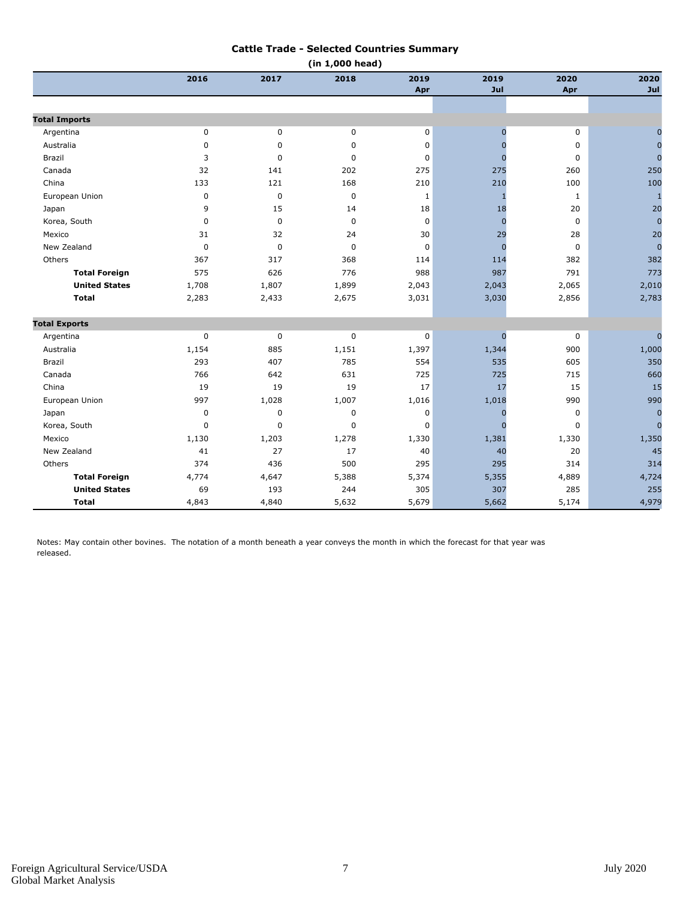#### **Cattle Trade - Selected Countries Summary**

| (in 1,000 head)      |             |             |             |              |                |              |                |
|----------------------|-------------|-------------|-------------|--------------|----------------|--------------|----------------|
|                      | 2016        | 2017        | 2018        | 2019         | 2019           | 2020         | 2020           |
|                      |             |             |             | Apr          | Jul            | Apr          | Jul            |
|                      |             |             |             |              |                |              |                |
| <b>Total Imports</b> |             |             |             |              |                |              |                |
| Argentina            | $\pmb{0}$   | 0           | 0           | $\mathbf 0$  | $\overline{0}$ | $\mathbf 0$  | $\overline{0}$ |
| Australia            | $\mathbf 0$ | 0           | 0           | 0            | $\Omega$       | 0            | $\mathbf 0$    |
| Brazil               | 3           | $\mathbf 0$ | $\mathbf 0$ | 0            | $\Omega$       | $\pmb{0}$    | $\overline{0}$ |
| Canada               | 32          | 141         | 202         | 275          | 275            | 260          | 250            |
| China                | 133         | 121         | 168         | 210          | 210            | 100          | 100            |
| European Union       | $\pmb{0}$   | $\pmb{0}$   | $\mathbf 0$ | $\mathbf{1}$ | -1             | $\mathbf{1}$ | $\mathbf{1}$   |
| Japan                | 9           | 15          | 14          | 18           | 18             | 20           | 20             |
| Korea, South         | $\mathbf 0$ | $\mathbf 0$ | $\mathbf 0$ | $\mathbf 0$  | $\overline{0}$ | $\mathbf 0$  | $\overline{0}$ |
| Mexico               | 31          | 32          | 24          | 30           | 29             | 28           | 20             |
| New Zealand          | $\mathbf 0$ | $\pmb{0}$   | $\mathbf 0$ | $\mathbf 0$  | $\Omega$       | $\mathbf 0$  | $\overline{0}$ |
| Others               | 367         | 317         | 368         | 114          | 114            | 382          | 382            |
| <b>Total Foreign</b> | 575         | 626         | 776         | 988          | 987            | 791          | 773            |
| <b>United States</b> | 1,708       | 1,807       | 1,899       | 2,043        | 2,043          | 2,065        | 2,010          |
| <b>Total</b>         | 2,283       | 2,433       | 2,675       | 3,031        | 3,030          | 2,856        | 2,783          |
| <b>Total Exports</b> |             |             |             |              |                |              |                |
| Argentina            | $\pmb{0}$   | $\pmb{0}$   | 0           | 0            | $\mathbf{0}$   | 0            | $\overline{0}$ |
| Australia            | 1,154       | 885         | 1,151       | 1,397        | 1,344          | 900          | 1,000          |
| Brazil               | 293         | 407         | 785         | 554          | 535            | 605          | 350            |
| Canada               | 766         | 642         | 631         | 725          | 725            | 715          | 660            |
| China                | 19          | 19          | 19          | 17           | 17             | 15           | 15             |
| European Union       | 997         | 1,028       | 1,007       | 1,016        | 1,018          | 990          | 990            |
| Japan                | $\mathbf 0$ | $\mathbf 0$ | $\mathbf 0$ | $\mathbf 0$  | $\Omega$       | $\mathbf 0$  | $\overline{0}$ |
| Korea, South         | $\mathbf 0$ | $\mathbf 0$ | 0           | 0            | $\Omega$       | 0            | $\overline{0}$ |
| Mexico               | 1,130       | 1,203       | 1,278       | 1,330        | 1,381          | 1,330        | 1,350          |
| New Zealand          | 41          | 27          | 17          | 40           | 40             | 20           | 45             |
| Others               | 374         | 436         | 500         | 295          | 295            | 314          | 314            |
| <b>Total Foreign</b> | 4,774       | 4,647       | 5,388       | 5,374        | 5,355          | 4,889        | 4,724          |
| <b>United States</b> | 69          | 193         | 244         | 305          | 307            | 285          | 255            |
| <b>Total</b>         | 4,843       | 4,840       | 5,632       | 5,679        | 5,662          | 5,174        | 4,979          |

Notes: May contain other bovines. The notation of a month beneath a year conveys the month in which the forecast for that year was released.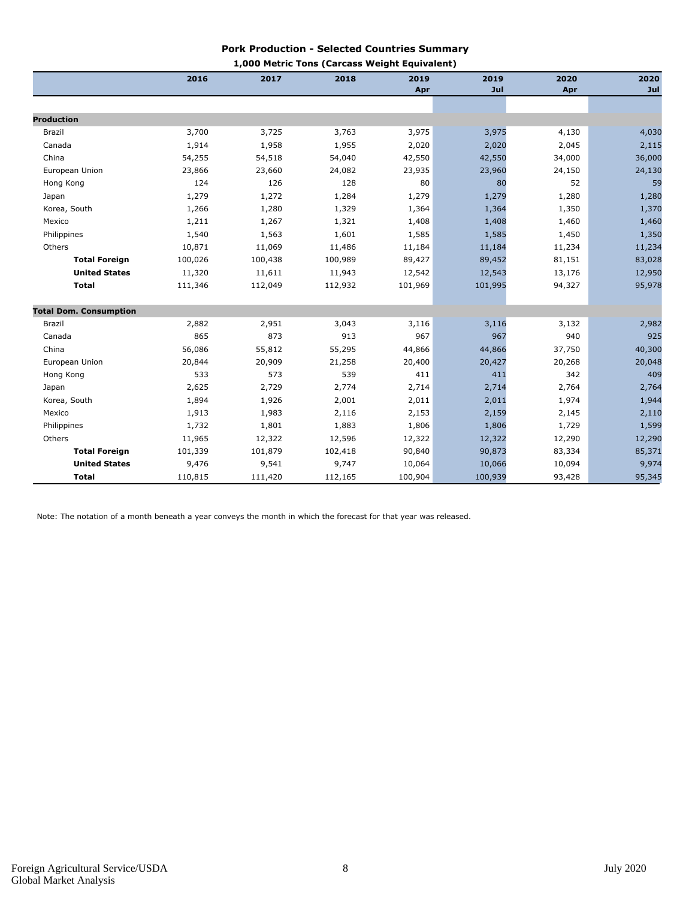#### **Pork Production - Selected Countries Summary 1,000 Metric Tons (Carcass Weight Equivalent)**

|                               | 2016    | 2017    | 1,000 Metric Tons (Carcass Weight Equivalent)<br>2018 | 2019    | 2019    | 2020   | 2020   |
|-------------------------------|---------|---------|-------------------------------------------------------|---------|---------|--------|--------|
|                               |         |         |                                                       | Apr     | Jul     | Apr    | Jul    |
|                               |         |         |                                                       |         |         |        |        |
| <b>Production</b>             |         |         |                                                       |         |         |        |        |
| Brazil                        | 3,700   | 3,725   | 3,763                                                 | 3,975   | 3,975   | 4,130  | 4,030  |
| Canada                        | 1,914   | 1,958   | 1,955                                                 | 2,020   | 2,020   | 2,045  | 2,115  |
| China                         | 54,255  | 54,518  | 54,040                                                | 42,550  | 42,550  | 34,000 | 36,000 |
| European Union                | 23,866  | 23,660  | 24,082                                                | 23,935  | 23,960  | 24,150 | 24,130 |
| Hong Kong                     | 124     | 126     | 128                                                   | 80      | 80      | 52     | 59     |
| Japan                         | 1,279   | 1,272   | 1,284                                                 | 1,279   | 1,279   | 1,280  | 1,280  |
| Korea, South                  | 1,266   | 1,280   | 1,329                                                 | 1,364   | 1,364   | 1,350  | 1,370  |
| Mexico                        | 1,211   | 1,267   | 1,321                                                 | 1,408   | 1,408   | 1,460  | 1,460  |
| Philippines                   | 1,540   | 1,563   | 1,601                                                 | 1,585   | 1,585   | 1,450  | 1,350  |
| Others                        | 10,871  | 11,069  | 11,486                                                | 11,184  | 11,184  | 11,234 | 11,234 |
| <b>Total Foreign</b>          | 100,026 | 100,438 | 100,989                                               | 89,427  | 89,452  | 81,151 | 83,028 |
| <b>United States</b>          | 11,320  | 11,611  | 11,943                                                | 12,542  | 12,543  | 13,176 | 12,950 |
| <b>Total</b>                  | 111,346 | 112,049 | 112,932                                               | 101,969 | 101,995 | 94,327 | 95,978 |
| <b>Total Dom. Consumption</b> |         |         |                                                       |         |         |        |        |
| Brazil                        | 2,882   | 2,951   | 3,043                                                 | 3,116   | 3,116   | 3,132  | 2,982  |
| Canada                        | 865     | 873     | 913                                                   | 967     | 967     | 940    | 925    |
| China                         | 56,086  | 55,812  | 55,295                                                | 44,866  | 44,866  | 37,750 | 40,300 |
| European Union                | 20,844  | 20,909  | 21,258                                                | 20,400  | 20,427  | 20,268 | 20,048 |
| Hong Kong                     | 533     | 573     | 539                                                   | 411     | 411     | 342    | 409    |
| Japan                         | 2,625   | 2,729   | 2,774                                                 | 2,714   | 2,714   | 2,764  | 2,764  |
| Korea, South                  | 1,894   | 1,926   | 2,001                                                 | 2,011   | 2,011   | 1,974  | 1,944  |
| Mexico                        | 1,913   | 1,983   | 2,116                                                 | 2,153   | 2,159   | 2,145  | 2,110  |
| Philippines                   | 1,732   | 1,801   | 1,883                                                 | 1,806   | 1,806   | 1,729  | 1,599  |
| Others                        | 11,965  | 12,322  | 12,596                                                | 12,322  | 12,322  | 12,290 | 12,290 |
| <b>Total Foreign</b>          | 101,339 | 101,879 | 102,418                                               | 90,840  | 90,873  | 83,334 | 85,371 |
| <b>United States</b>          | 9,476   | 9,541   | 9,747                                                 | 10,064  | 10,066  | 10,094 | 9,974  |
| <b>Total</b>                  | 110,815 | 111,420 | 112,165                                               | 100,904 | 100,939 | 93,428 | 95,345 |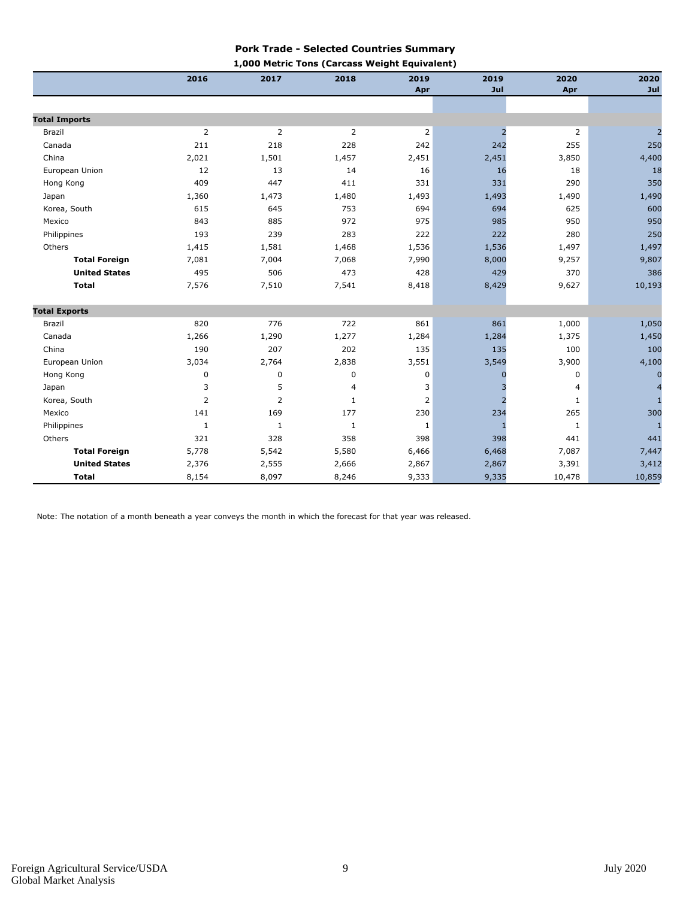#### **Pork Trade - Selected Countries Summary 1,000 Metric Tons (Carcass Weight Equivalent)**

|                      | 2016           | 2017           | Love rietite Tons (Carcass Weight Equivalent)<br>2018 | 2019           | 2019           | 2020   | 2020     |
|----------------------|----------------|----------------|-------------------------------------------------------|----------------|----------------|--------|----------|
|                      |                |                |                                                       | Apr            | Jul            | Apr    | Jul      |
|                      |                |                |                                                       |                |                |        |          |
| <b>Total Imports</b> |                |                |                                                       |                |                |        |          |
| <b>Brazil</b>        | 2              | 2              | $\overline{2}$                                        | $\overline{2}$ | $\overline{2}$ | 2      |          |
| Canada               | 211            | 218            | 228                                                   | 242            | 242            | 255    | 250      |
| China                | 2,021          | 1,501          | 1,457                                                 | 2,451          | 2,451          | 3,850  | 4,400    |
| European Union       | 12             | 13             | 14                                                    | 16             | 16             | 18     | 18       |
| Hong Kong            | 409            | 447            | 411                                                   | 331            | 331            | 290    | 350      |
| Japan                | 1,360          | 1,473          | 1,480                                                 | 1,493          | 1,493          | 1,490  | 1,490    |
| Korea, South         | 615            | 645            | 753                                                   | 694            | 694            | 625    | 600      |
| Mexico               | 843            | 885            | 972                                                   | 975            | 985            | 950    | 950      |
| Philippines          | 193            | 239            | 283                                                   | 222            | 222            | 280    | 250      |
| Others               | 1,415          | 1,581          | 1,468                                                 | 1,536          | 1,536          | 1,497  | 1,497    |
| <b>Total Foreign</b> | 7,081          | 7,004          | 7,068                                                 | 7,990          | 8,000          | 9,257  | 9,807    |
| <b>United States</b> | 495            | 506            | 473                                                   | 428            | 429            | 370    | 386      |
| <b>Total</b>         | 7,576          | 7,510          | 7,541                                                 | 8,418          | 8,429          | 9,627  | 10,193   |
| <b>Total Exports</b> |                |                |                                                       |                |                |        |          |
| Brazil               | 820            | 776            | 722                                                   | 861            | 861            | 1,000  | 1,050    |
| Canada               | 1,266          | 1,290          | 1,277                                                 | 1,284          | 1,284          | 1,375  | 1,450    |
| China                | 190            | 207            | 202                                                   | 135            | 135            | 100    | 100      |
| European Union       | 3,034          | 2,764          | 2,838                                                 | 3,551          | 3,549          | 3,900  | 4,100    |
| Hong Kong            | 0              | 0              | 0                                                     | 0              |                | 0      | $\Omega$ |
| Japan                | 3              | 5              | 4                                                     | 3              |                | 4      |          |
| Korea, South         | $\overline{2}$ | $\overline{2}$ | $\mathbf{1}$                                          | 2              |                | 1      |          |
| Mexico               | 141            | 169            | 177                                                   | 230            | 234            | 265    | 300      |
| Philippines          | $\mathbf{1}$   | $1\,$          | $\mathbf{1}$                                          | 1              | $\mathbf{1}$   | 1      | 1        |
| Others               | 321            | 328            | 358                                                   | 398            | 398            | 441    | 441      |
| <b>Total Foreign</b> | 5,778          | 5,542          | 5,580                                                 | 6,466          | 6,468          | 7,087  | 7,447    |
| <b>United States</b> | 2,376          | 2,555          | 2,666                                                 | 2,867          | 2,867          | 3,391  | 3,412    |
| <b>Total</b>         | 8,154          | 8,097          | 8,246                                                 | 9,333          | 9,335          | 10,478 | 10,859   |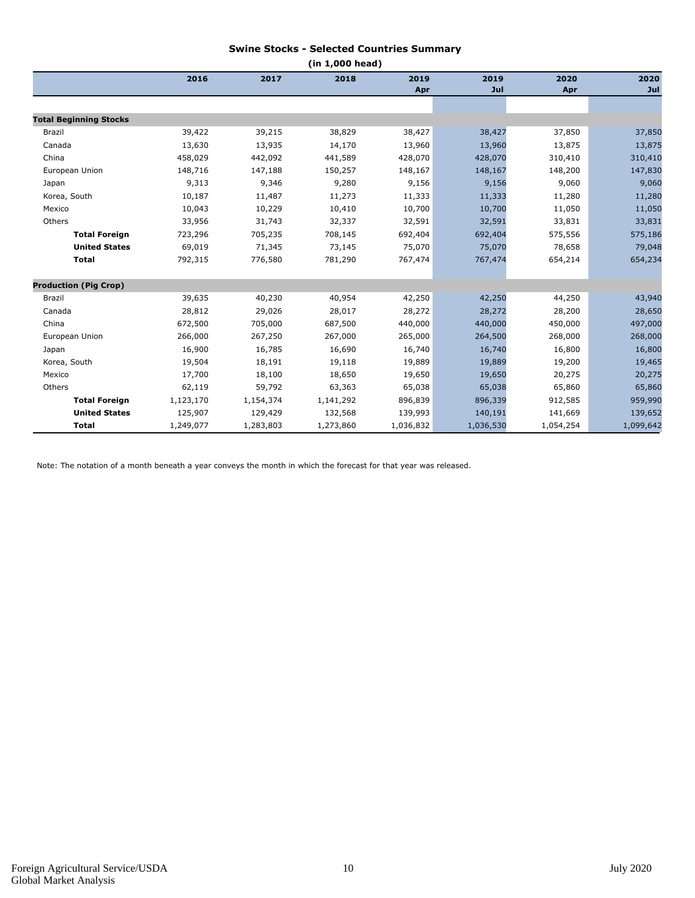#### **Swine Stocks - Selected Countries Summary**

| (in 1,000 head)               |           |           |           |           |           |           |           |
|-------------------------------|-----------|-----------|-----------|-----------|-----------|-----------|-----------|
|                               | 2016      | 2017      | 2018      | 2019      | 2019      | 2020      | 2020      |
|                               |           |           |           | Apr       | Jul       | Apr       | Jul       |
|                               |           |           |           |           |           |           |           |
| <b>Total Beginning Stocks</b> |           |           |           |           |           |           |           |
| Brazil                        | 39,422    | 39,215    | 38,829    | 38,427    | 38,427    | 37,850    | 37,850    |
| Canada                        | 13,630    | 13,935    | 14,170    | 13,960    | 13,960    | 13,875    | 13,875    |
| China                         | 458,029   | 442,092   | 441,589   | 428,070   | 428,070   | 310,410   | 310,410   |
| European Union                | 148,716   | 147,188   | 150,257   | 148,167   | 148,167   | 148,200   | 147,830   |
| Japan                         | 9,313     | 9,346     | 9,280     | 9,156     | 9,156     | 9,060     | 9,060     |
| Korea, South                  | 10,187    | 11,487    | 11,273    | 11,333    | 11,333    | 11,280    | 11,280    |
| Mexico                        | 10,043    | 10,229    | 10,410    | 10,700    | 10,700    | 11,050    | 11,050    |
| Others                        | 33,956    | 31,743    | 32,337    | 32,591    | 32,591    | 33,831    | 33,831    |
| <b>Total Foreign</b>          | 723,296   | 705,235   | 708,145   | 692,404   | 692,404   | 575,556   | 575,186   |
| <b>United States</b>          | 69,019    | 71,345    | 73,145    | 75,070    | 75,070    | 78,658    | 79,048    |
| <b>Total</b>                  | 792,315   | 776,580   | 781,290   | 767,474   | 767,474   | 654,214   | 654,234   |
| <b>Production (Pig Crop)</b>  |           |           |           |           |           |           |           |
| Brazil                        | 39,635    | 40,230    | 40,954    | 42,250    | 42,250    | 44,250    | 43,940    |
| Canada                        | 28,812    | 29,026    | 28,017    | 28,272    | 28,272    | 28,200    | 28,650    |
| China                         | 672,500   | 705,000   | 687,500   | 440,000   | 440,000   | 450,000   | 497,000   |
| European Union                | 266,000   | 267,250   | 267,000   | 265,000   | 264,500   | 268,000   | 268,000   |
| Japan                         | 16,900    | 16,785    | 16,690    | 16,740    | 16,740    | 16,800    | 16,800    |
| Korea, South                  | 19,504    | 18,191    | 19,118    | 19,889    | 19,889    | 19,200    | 19,465    |
| Mexico                        | 17,700    | 18,100    | 18,650    | 19,650    | 19,650    | 20,275    | 20,275    |
| Others                        | 62,119    | 59,792    | 63,363    | 65,038    | 65,038    | 65,860    | 65,860    |
| <b>Total Foreign</b>          | 1,123,170 | 1,154,374 | 1,141,292 | 896,839   | 896,339   | 912,585   | 959,990   |
| <b>United States</b>          | 125,907   | 129,429   | 132,568   | 139,993   | 140,191   | 141,669   | 139,652   |
| Total                         | 1,249,077 | 1,283,803 | 1,273,860 | 1,036,832 | 1,036,530 | 1,054,254 | 1,099,642 |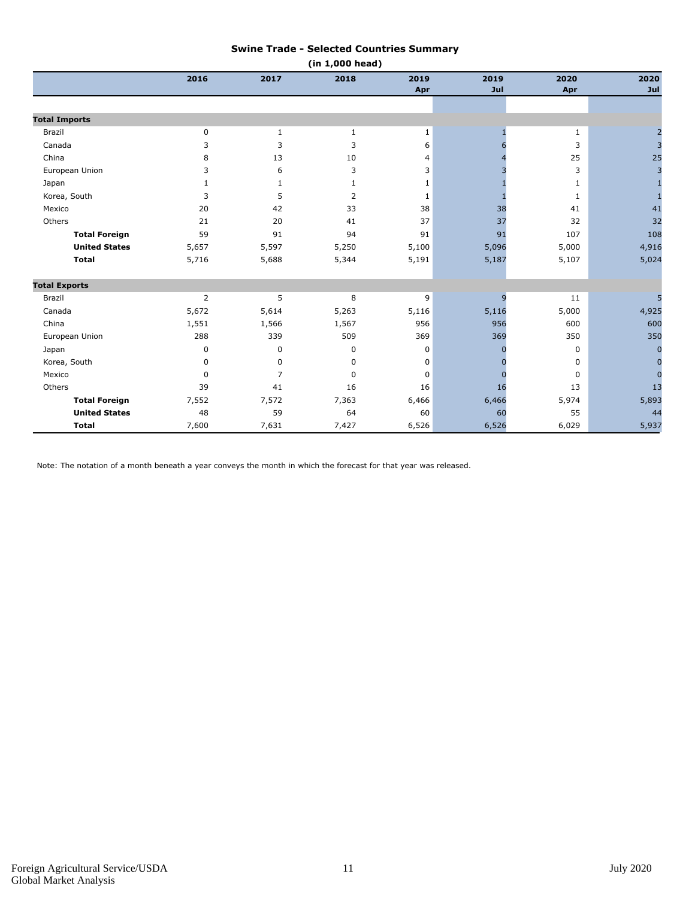#### **Swine Trade - Selected Countries Summary**

| (in 1,000 head)      |                |              |                |              |       |       |                |
|----------------------|----------------|--------------|----------------|--------------|-------|-------|----------------|
|                      | 2016           | 2017         | 2018           | 2019         | 2019  | 2020  | 2020           |
|                      |                |              |                | Apr          | Jul   | Apr   | Jul            |
|                      |                |              |                |              |       |       |                |
| <b>Total Imports</b> |                |              |                |              |       |       |                |
| Brazil               | $\mathbf 0$    | 1            | 1              | 1            |       | 1     |                |
| Canada               | 3              | 3            | 3              | 6            |       | 3     | 3              |
| China                | 8              | 13           | 10             | 4            |       | 25    | 25             |
| European Union       | 3              | 6            | 3              | 3            |       | 3     | $\overline{3}$ |
| Japan                | $\mathbf{1}$   | $\mathbf{1}$ | $\mathbf{1}$   | 1            |       | 1     |                |
| Korea, South         | 3              | 5            | $\overline{2}$ | $\mathbf{1}$ |       | 1     | $\mathbf{1}$   |
| Mexico               | 20             | 42           | 33             | 38           | 38    | 41    | 41             |
| Others               | 21             | 20           | 41             | 37           | 37    | 32    | 32             |
| <b>Total Foreign</b> | 59             | 91           | 94             | 91           | 91    | 107   | 108            |
| <b>United States</b> | 5,657          | 5,597        | 5,250          | 5,100        | 5,096 | 5,000 | 4,916          |
| <b>Total</b>         | 5,716          | 5,688        | 5,344          | 5,191        | 5,187 | 5,107 | 5,024          |
| <b>Total Exports</b> |                |              |                |              |       |       |                |
| <b>Brazil</b>        | $\overline{2}$ | 5            | 8              | 9            | 9     | 11    | 5              |
| Canada               | 5,672          | 5,614        | 5,263          | 5,116        | 5,116 | 5,000 | 4,925          |
| China                | 1,551          | 1,566        | 1,567          | 956          | 956   | 600   | 600            |
| European Union       | 288            | 339          | 509            | 369          | 369   | 350   | 350            |
| Japan                | 0              | 0            | 0              | 0            |       | 0     | $\overline{0}$ |
| Korea, South         | 0              | $\mathbf 0$  | 0              | 0            |       | 0     | $\overline{0}$ |
| Mexico               | $\Omega$       | 7            | 0              | $\Omega$     |       | 0     | $\Omega$       |
| Others               | 39             | 41           | 16             | 16           | 16    | 13    | 13             |
| <b>Total Foreign</b> | 7,552          | 7,572        | 7,363          | 6,466        | 6,466 | 5,974 | 5,893          |
| <b>United States</b> | 48             | 59           | 64             | 60           | 60    | 55    | 44             |
| <b>Total</b>         | 7,600          | 7,631        | 7,427          | 6,526        | 6,526 | 6,029 | 5,937          |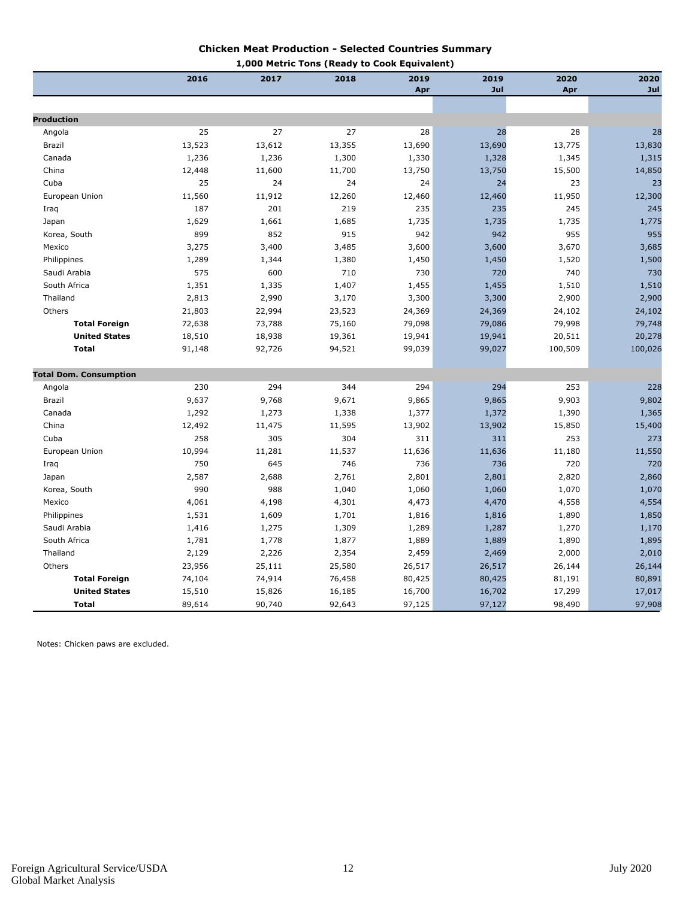#### **Chicken Meat Production - Selected Countries Summary**

| 1,000 Metric Tons (Ready to Cook Equivalent) |        |        |        |        |        |         |         |
|----------------------------------------------|--------|--------|--------|--------|--------|---------|---------|
|                                              | 2016   | 2017   | 2018   | 2019   | 2019   | 2020    | 2020    |
|                                              |        |        |        | Apr    | Jul    | Apr     | Jul     |
|                                              |        |        |        |        |        |         |         |
| <b>Production</b>                            |        |        |        |        |        |         |         |
| Angola                                       | 25     | 27     | 27     | 28     | 28     | 28      | 28      |
| Brazil                                       | 13,523 | 13,612 | 13,355 | 13,690 | 13,690 | 13,775  | 13,830  |
| Canada                                       | 1,236  | 1,236  | 1,300  | 1,330  | 1,328  | 1,345   | 1,315   |
| China                                        | 12,448 | 11,600 | 11,700 | 13,750 | 13,750 | 15,500  | 14,850  |
| Cuba                                         | 25     | 24     | 24     | 24     | 24     | 23      | 23      |
| European Union                               | 11,560 | 11,912 | 12,260 | 12,460 | 12,460 | 11,950  | 12,300  |
| Iraq                                         | 187    | 201    | 219    | 235    | 235    | 245     | 245     |
| Japan                                        | 1,629  | 1,661  | 1,685  | 1,735  | 1,735  | 1,735   | 1,775   |
| Korea, South                                 | 899    | 852    | 915    | 942    | 942    | 955     | 955     |
| Mexico                                       | 3,275  | 3,400  | 3,485  | 3,600  | 3,600  | 3,670   | 3,685   |
| Philippines                                  | 1,289  | 1,344  | 1,380  | 1,450  | 1,450  | 1,520   | 1,500   |
| Saudi Arabia                                 | 575    | 600    | 710    | 730    | 720    | 740     | 730     |
| South Africa                                 | 1,351  | 1,335  | 1,407  | 1,455  | 1,455  | 1,510   | 1,510   |
| Thailand                                     | 2,813  | 2,990  | 3,170  | 3,300  | 3,300  | 2,900   | 2,900   |
| Others                                       | 21,803 | 22,994 | 23,523 | 24,369 | 24,369 | 24,102  | 24,102  |
| <b>Total Foreign</b>                         | 72,638 | 73,788 | 75,160 | 79,098 | 79,086 | 79,998  | 79,748  |
| <b>United States</b>                         | 18,510 | 18,938 | 19,361 | 19,941 | 19,941 | 20,511  | 20,278  |
| <b>Total</b>                                 | 91,148 | 92,726 | 94,521 | 99,039 | 99,027 | 100,509 | 100,026 |
| <b>Total Dom. Consumption</b>                |        |        |        |        |        |         |         |
| Angola                                       | 230    | 294    | 344    | 294    | 294    | 253     | 228     |
| Brazil                                       | 9,637  | 9,768  | 9,671  | 9,865  | 9,865  | 9,903   | 9,802   |
| Canada                                       | 1,292  | 1,273  | 1,338  | 1,377  | 1,372  | 1,390   | 1,365   |
| China                                        | 12,492 | 11,475 | 11,595 | 13,902 | 13,902 | 15,850  | 15,400  |
| Cuba                                         | 258    | 305    | 304    | 311    | 311    | 253     | 273     |
| European Union                               | 10,994 | 11,281 | 11,537 | 11,636 | 11,636 | 11,180  | 11,550  |
| Iraq                                         | 750    | 645    | 746    | 736    | 736    | 720     | 720     |
| Japan                                        | 2,587  | 2,688  | 2,761  | 2,801  | 2,801  | 2,820   | 2,860   |
| Korea, South                                 | 990    | 988    | 1,040  | 1,060  | 1,060  | 1,070   | 1,070   |
| Mexico                                       | 4,061  | 4,198  | 4,301  | 4,473  | 4,470  | 4,558   | 4,554   |
| Philippines                                  | 1,531  | 1,609  | 1,701  | 1,816  | 1,816  | 1,890   | 1,850   |
| Saudi Arabia                                 | 1,416  | 1,275  | 1,309  | 1,289  | 1,287  | 1,270   | 1,170   |
| South Africa                                 | 1,781  | 1,778  | 1,877  | 1,889  | 1,889  | 1,890   | 1,895   |
| Thailand                                     | 2,129  | 2,226  | 2,354  | 2,459  | 2,469  | 2,000   | 2,010   |
| Others                                       | 23,956 | 25,111 | 25,580 | 26,517 | 26,517 | 26,144  | 26,144  |
| <b>Total Foreign</b>                         | 74,104 | 74,914 | 76,458 | 80,425 | 80,425 | 81,191  | 80,891  |
| <b>United States</b>                         | 15,510 | 15,826 | 16,185 | 16,700 | 16,702 | 17,299  | 17,017  |
| <b>Total</b>                                 | 89,614 | 90,740 | 92,643 | 97,125 | 97,127 | 98,490  | 97,908  |

Notes: Chicken paws are excluded.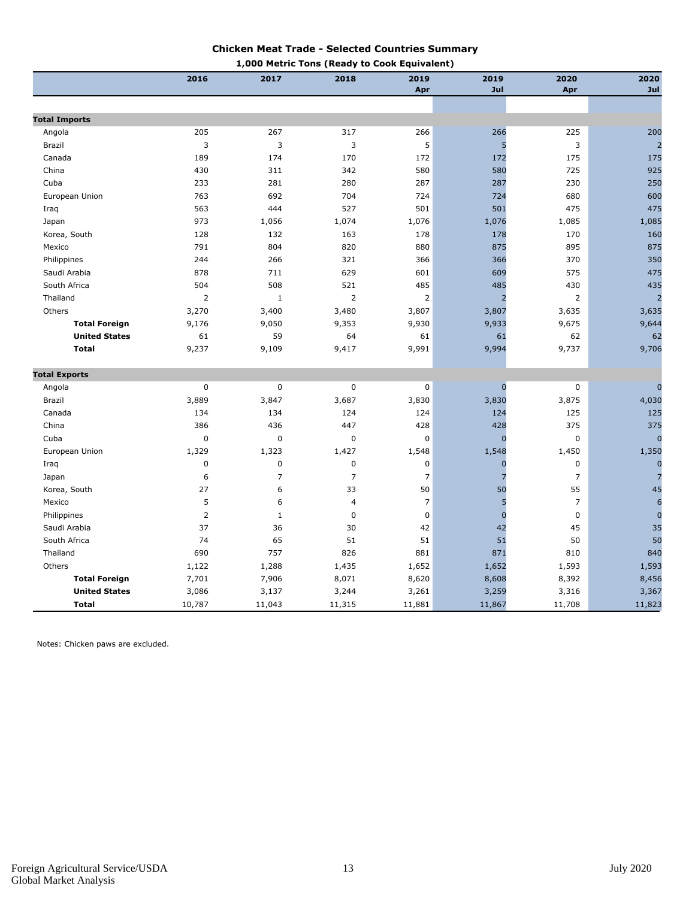#### **Chicken Meat Trade - Selected Countries Summary**

|                      |                |             | 1,000 Metric Tons (Ready to Cook Equivalent) |                |                |                |                  |
|----------------------|----------------|-------------|----------------------------------------------|----------------|----------------|----------------|------------------|
|                      | 2016           | 2017        | 2018                                         | 2019           | 2019           | 2020           | 2020             |
|                      |                |             |                                              | Apr            | Jul            | Apr            | Jul              |
|                      |                |             |                                              |                |                |                |                  |
| <b>Total Imports</b> |                |             |                                              |                |                |                |                  |
| Angola               | 205            | 267         | 317                                          | 266            | 266            | 225            | 200              |
| Brazil               | 3              | 3           | 3                                            | 5              | 5              | 3              | $\overline{2}$   |
| Canada               | 189            | 174         | 170                                          | 172            | 172            | 175            | 175              |
| China                | 430            | 311         | 342                                          | 580            | 580            | 725            | 925              |
| Cuba                 | 233            | 281         | 280                                          | 287            | 287            | 230            | 250              |
| European Union       | 763            | 692         | 704                                          | 724            | 724            | 680            | 600              |
| Iraq                 | 563            | 444         | 527                                          | 501            | 501            | 475            | 475              |
| Japan                | 973            | 1,056       | 1,074                                        | 1,076          | 1,076          | 1,085          | 1,085            |
| Korea, South         | 128            | 132         | 163                                          | 178            | 178            | 170            | 160              |
| Mexico               | 791            | 804         | 820                                          | 880            | 875            | 895            | 875              |
| Philippines          | 244            | 266         | 321                                          | 366            | 366            | 370            | 350              |
| Saudi Arabia         | 878            | 711         | 629                                          | 601            | 609            | 575            | 475              |
| South Africa         | 504            | 508         | 521                                          | 485            | 485            | 430            | 435              |
| Thailand             | $\overline{2}$ | $\mathbf 1$ | $\overline{2}$                               | $\overline{2}$ | $\overline{2}$ | $\overline{2}$ | $\overline{a}$   |
| Others               | 3,270          | 3,400       | 3,480                                        | 3,807          | 3,807          | 3,635          | 3,635            |
| <b>Total Foreign</b> | 9,176          | 9,050       | 9,353                                        | 9,930          | 9,933          | 9,675          | 9,644            |
| <b>United States</b> | 61             | 59          | 64                                           | 61             | 61             | 62             | 62               |
| <b>Total</b>         | 9,237          | 9,109       | 9,417                                        | 9,991          | 9,994          | 9,737          | 9,706            |
| <b>Total Exports</b> |                |             |                                              |                |                |                |                  |
| Angola               | 0              | $\mathbf 0$ | 0                                            | $\mathbf 0$    | $\mathbf 0$    | 0              | $\mathbf{C}$     |
| Brazil               | 3,889          | 3,847       | 3,687                                        | 3,830          | 3,830          | 3,875          | 4,030            |
| Canada               | 134            | 134         | 124                                          | 124            | 124            | 125            | 125              |
| China                | 386            | 436         | 447                                          | 428            | 428            | 375            | 375              |
| Cuba                 | $\mathbf 0$    | 0           | $\pmb{0}$                                    | $\mathbf 0$    | $\overline{0}$ | $\pmb{0}$      | $\overline{0}$   |
| European Union       | 1,329          | 1,323       | 1,427                                        | 1,548          | 1,548          | 1,450          | 1,350            |
| Iraq                 | 0              | $\mathbf 0$ | 0                                            | $\pmb{0}$      | $\mathbf 0$    | $\pmb{0}$      | $\mathbf 0$      |
| Japan                | 6              | 7           | $\overline{7}$                               | $\overline{7}$ | 7              | $\overline{7}$ | 7                |
| Korea, South         | 27             | 6           | 33                                           | 50             | 50             | 55             | 45               |
| Mexico               | 5              | 6           | $\overline{4}$                               | $\overline{7}$ | 5              | $\overline{7}$ | $\boldsymbol{6}$ |
| Philippines          | $\overline{2}$ | $1\,$       | $\pmb{0}$                                    | $\mathbf 0$    | $\overline{0}$ | $\pmb{0}$      | $\mathbf 0$      |
| Saudi Arabia         | 37             | 36          | 30                                           | 42             | 42             | 45             | 35               |
| South Africa         | 74             | 65          | 51                                           | 51             | 51             | 50             | 50               |
| Thailand             | 690            | 757         | 826                                          | 881            | 871            | 810            | 840              |
| Others               | 1,122          | 1,288       | 1,435                                        | 1,652          | 1,652          | 1,593          | 1,593            |
| <b>Total Foreign</b> | 7,701          | 7,906       | 8,071                                        | 8,620          | 8,608          | 8,392          | 8,456            |
| <b>United States</b> | 3,086          | 3,137       | 3,244                                        | 3,261          | 3,259          | 3,316          | 3,367            |
| <b>Total</b>         | 10,787         | 11,043      | 11,315                                       | 11,881         | 11,867         | 11,708         | 11,823           |

Notes: Chicken paws are excluded.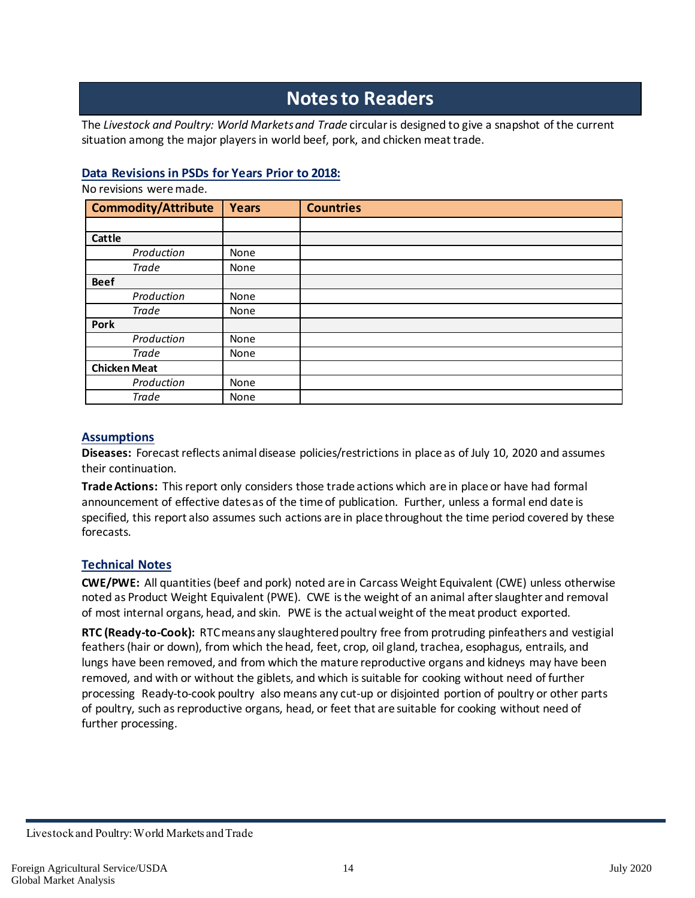## **Notesto Readers**

The *Livestock and Poultry: World Markets and Trade* circular is designed to give a snapshot of the current situation among the major players in world beef, pork, and chicken meattrade.

#### **Data Revisions in PSDs for Years Prior to 2018:**

No revisions weremade.

| <b>Commodity/Attribute</b> | <b>Years</b> | <b>Countries</b> |
|----------------------------|--------------|------------------|
|                            |              |                  |
| Cattle                     |              |                  |
| Production                 | None         |                  |
| <b>Trade</b>               | None         |                  |
| <b>Beef</b>                |              |                  |
| Production                 | None         |                  |
| <b>Trade</b>               | None         |                  |
| Pork                       |              |                  |
| Production                 | None         |                  |
| <b>Trade</b>               | None         |                  |
| <b>Chicken Meat</b>        |              |                  |
| Production                 | None         |                  |
| Trade                      | None         |                  |

#### **Assumptions**

**Diseases:** Forecast reflects animal disease policies/restrictions in place as of July 10, 2020 and assumes their continuation.

**TradeActions:** This report only considers those trade actions which are in place or have had formal announcement of effective dates as of the time of publication. Further, unless a formal end date is specified, this report also assumes such actions are in place throughout the time period covered by these forecasts.

#### **Technical Notes**

**CWE/PWE:** All quantities (beef and pork) noted are in Carcass Weight Equivalent (CWE) unless otherwise noted as Product Weight Equivalent (PWE). CWE is the weight of an animal after slaughter and removal of most internal organs, head, and skin. PWE is the actual weight of the meat product exported.

**RTC (Ready-to-Cook):** RTC means any slaughtered poultry free from protruding pinfeathers and vestigial feathers (hair or down), from which the head, feet, crop, oil gland, trachea, esophagus, entrails, and lungs have been removed, and from which the mature reproductive organs and kidneys may have been removed, and with or without the giblets, and which issuitable for cooking without need of further processing Ready-to-cook poultry also means any cut-up or disjointed portion of poultry or other parts of poultry, such as reproductive organs, head, or feet that are suitable for cooking without need of further processing.

Livestock and Poultry: World Markets and Trade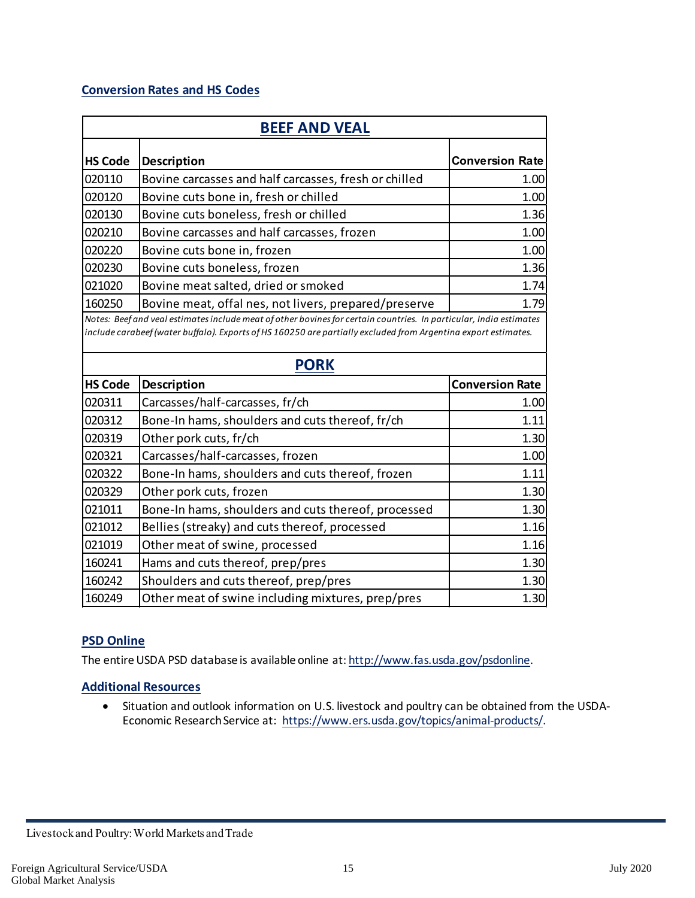#### **Conversion Rates and HS Codes**

| <b>BEEF AND VEAL</b> |                                                                                                                                                                                                                                      |                        |  |  |  |
|----------------------|--------------------------------------------------------------------------------------------------------------------------------------------------------------------------------------------------------------------------------------|------------------------|--|--|--|
| <b>HS Code</b>       | <b>Description</b>                                                                                                                                                                                                                   | <b>Conversion Rate</b> |  |  |  |
| 020110               | Bovine carcasses and half carcasses, fresh or chilled                                                                                                                                                                                | 1.00                   |  |  |  |
| 020120               | Bovine cuts bone in, fresh or chilled                                                                                                                                                                                                | 1.00                   |  |  |  |
| 020130               | Bovine cuts boneless, fresh or chilled                                                                                                                                                                                               | 1.36                   |  |  |  |
| 020210               | Bovine carcasses and half carcasses, frozen                                                                                                                                                                                          | 1.00                   |  |  |  |
| 020220               | Bovine cuts bone in, frozen                                                                                                                                                                                                          | 1.00                   |  |  |  |
| 020230               | Bovine cuts boneless, frozen                                                                                                                                                                                                         | 1.36                   |  |  |  |
| 021020               | Bovine meat salted, dried or smoked                                                                                                                                                                                                  | 1.74                   |  |  |  |
| 160250               | Bovine meat, offal nes, not livers, prepared/preserve                                                                                                                                                                                | 1.79                   |  |  |  |
|                      | Notes: Beef and veal estimates include meat of other bovines for certain countries. In particular, India estimates<br>include carabeef (water buffalo). Exports of HS 160250 are partially excluded from Argentina export estimates. |                        |  |  |  |
| <b>PORK</b>          |                                                                                                                                                                                                                                      |                        |  |  |  |
| <b>HS Code</b>       | <b>Description</b>                                                                                                                                                                                                                   | <b>Conversion Rate</b> |  |  |  |
| 020311               | Carcasses/half-carcasses, fr/ch                                                                                                                                                                                                      | 1.00                   |  |  |  |
| 020312               | Bone-In hams, shoulders and cuts thereof, fr/ch                                                                                                                                                                                      | 1.11                   |  |  |  |
| 020319               | Other pork cuts, fr/ch                                                                                                                                                                                                               | 1.30                   |  |  |  |
| 020321               | Carcasses/half-carcasses, frozen                                                                                                                                                                                                     | 1.00                   |  |  |  |
| 020322               | Bone-In hams, shoulders and cuts thereof, frozen                                                                                                                                                                                     | 1.11                   |  |  |  |
| 020329               | Other pork cuts, frozen                                                                                                                                                                                                              | 1.30                   |  |  |  |
| 021011               | Bone-In hams, shoulders and cuts thereof, processed                                                                                                                                                                                  | 1.30                   |  |  |  |
| 021012               | Bellies (streaky) and cuts thereof, processed                                                                                                                                                                                        | 1.16                   |  |  |  |
| 021019               | Other meat of swine, processed                                                                                                                                                                                                       | 1.16                   |  |  |  |
| 160241               | Hams and cuts thereof, prep/pres                                                                                                                                                                                                     | 1.30                   |  |  |  |
| 160242               | Shoulders and cuts thereof, prep/pres                                                                                                                                                                                                | 1.30                   |  |  |  |
| 160249               | Other meat of swine including mixtures, prep/pres                                                                                                                                                                                    | 1.30                   |  |  |  |

#### **PSD Online**

The entire USDA PSD database is available online at: [http://www.fas.usda.gov/psdonline.](http://www.fas.usda.gov/psdonline)

#### **Additional Resources**

• Situation and outlook information on U.S. livestock and poultry can be obtained from the USDA-Economic Research Service at: [https://www.ers.usda.gov/topics/animal-products/.](https://www.ers.usda.gov/topics/animal-products/)

Livestock and Poultry: World Markets and Trade